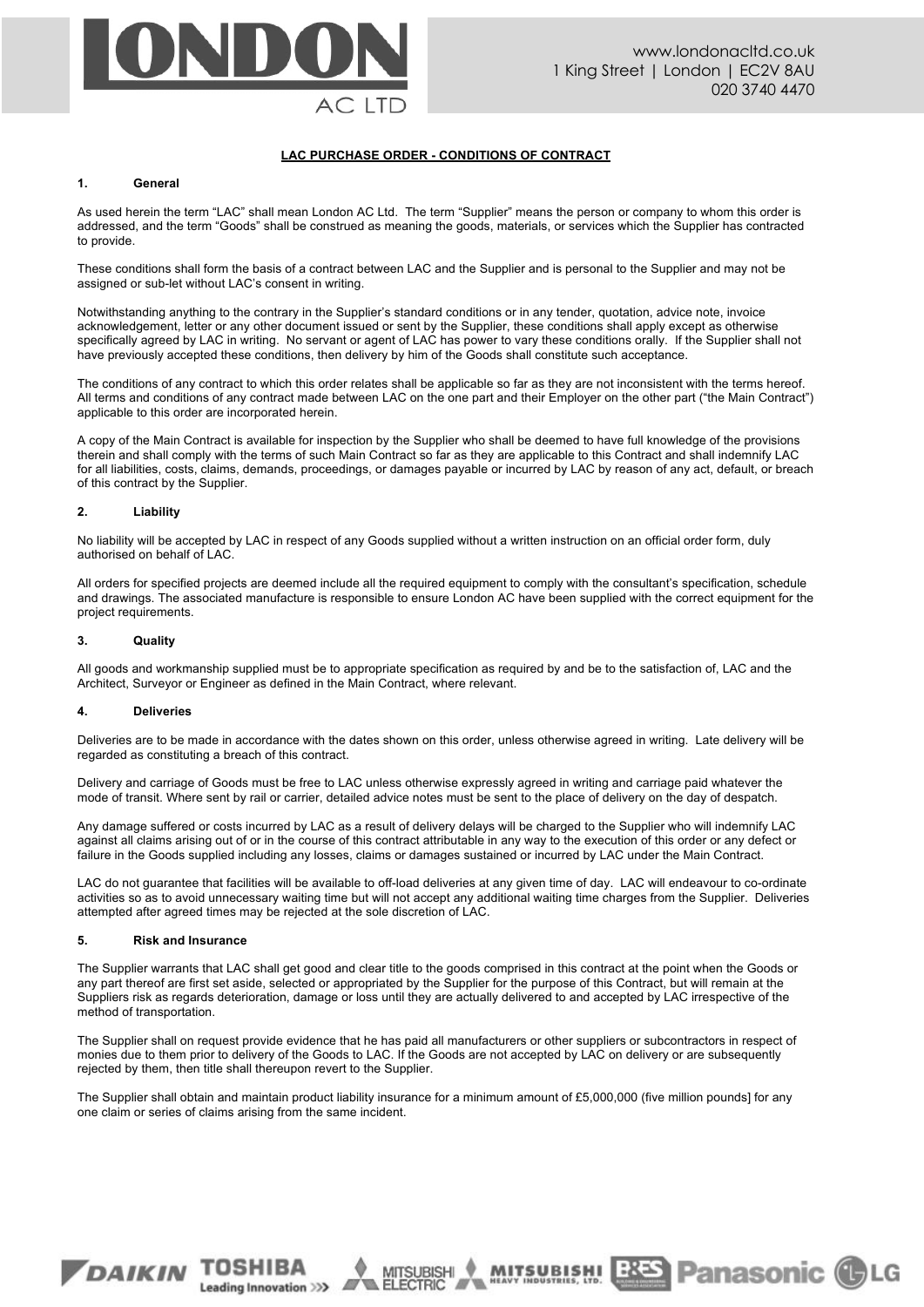

# **LAC PURCHASE ORDER - CONDITIONS OF CONTRACT**

### **1. General**

As used herein the term "LAC" shall mean London AC Ltd. The term "Supplier" means the person or company to whom this order is addressed, and the term "Goods" shall be construed as meaning the goods, materials, or services which the Supplier has contracted to provide.

These conditions shall form the basis of a contract between LAC and the Supplier and is personal to the Supplier and may not be assigned or sub-let without LAC's consent in writing.

Notwithstanding anything to the contrary in the Supplier's standard conditions or in any tender, quotation, advice note, invoice acknowledgement, letter or any other document issued or sent by the Supplier, these conditions shall apply except as otherwise specifically agreed by LAC in writing. No servant or agent of LAC has power to vary these conditions orally. If the Supplier shall not have previously accepted these conditions, then delivery by him of the Goods shall constitute such acceptance.

The conditions of any contract to which this order relates shall be applicable so far as they are not inconsistent with the terms hereof. All terms and conditions of any contract made between LAC on the one part and their Employer on the other part ("the Main Contract") applicable to this order are incorporated herein.

A copy of the Main Contract is available for inspection by the Supplier who shall be deemed to have full knowledge of the provisions therein and shall comply with the terms of such Main Contract so far as they are applicable to this Contract and shall indemnify LAC for all liabilities, costs, claims, demands, proceedings, or damages payable or incurred by LAC by reason of any act, default, or breach of this contract by the Supplier.

## **2. Liability**

No liability will be accepted by LAC in respect of any Goods supplied without a written instruction on an official order form, duly authorised on behalf of LAC.

All orders for specified projects are deemed include all the required equipment to comply with the consultant's specification, schedule and drawings. The associated manufacture is responsible to ensure London AC have been supplied with the correct equipment for the project requirements.

### **3. Quality**

All goods and workmanship supplied must be to appropriate specification as required by and be to the satisfaction of, LAC and the Architect, Surveyor or Engineer as defined in the Main Contract, where relevant.

#### **4. Deliveries**

Deliveries are to be made in accordance with the dates shown on this order, unless otherwise agreed in writing. Late delivery will be regarded as constituting a breach of this contract.

Delivery and carriage of Goods must be free to LAC unless otherwise expressly agreed in writing and carriage paid whatever the mode of transit. Where sent by rail or carrier, detailed advice notes must be sent to the place of delivery on the day of despatch.

Any damage suffered or costs incurred by LAC as a result of delivery delays will be charged to the Supplier who will indemnify LAC against all claims arising out of or in the course of this contract attributable in any way to the execution of this order or any defect or failure in the Goods supplied including any losses, claims or damages sustained or incurred by LAC under the Main Contract.

LAC do not guarantee that facilities will be available to off-load deliveries at any given time of day. LAC will endeavour to co-ordinate activities so as to avoid unnecessary waiting time but will not accept any additional waiting time charges from the Supplier. Deliveries attempted after agreed times may be rejected at the sole discretion of LAC.

#### **5. Risk and Insurance**

The Supplier warrants that LAC shall get good and clear title to the goods comprised in this contract at the point when the Goods or any part thereof are first set aside, selected or appropriated by the Supplier for the purpose of this Contract, but will remain at the Suppliers risk as regards deterioration, damage or loss until they are actually delivered to and accepted by LAC irrespective of the method of transportation.

The Supplier shall on request provide evidence that he has paid all manufacturers or other suppliers or subcontractors in respect of monies due to them prior to delivery of the Goods to LAC. If the Goods are not accepted by LAC on delivery or are subsequently rejected by them, then title shall thereupon revert to the Supplier.

The Supplier shall obtain and maintain product liability insurance for a minimum amount of £5,000,000 (five million pounds] for any one claim or series of claims arising from the same incident.

**MITSUBISHI** 

Leading Innovation >>>



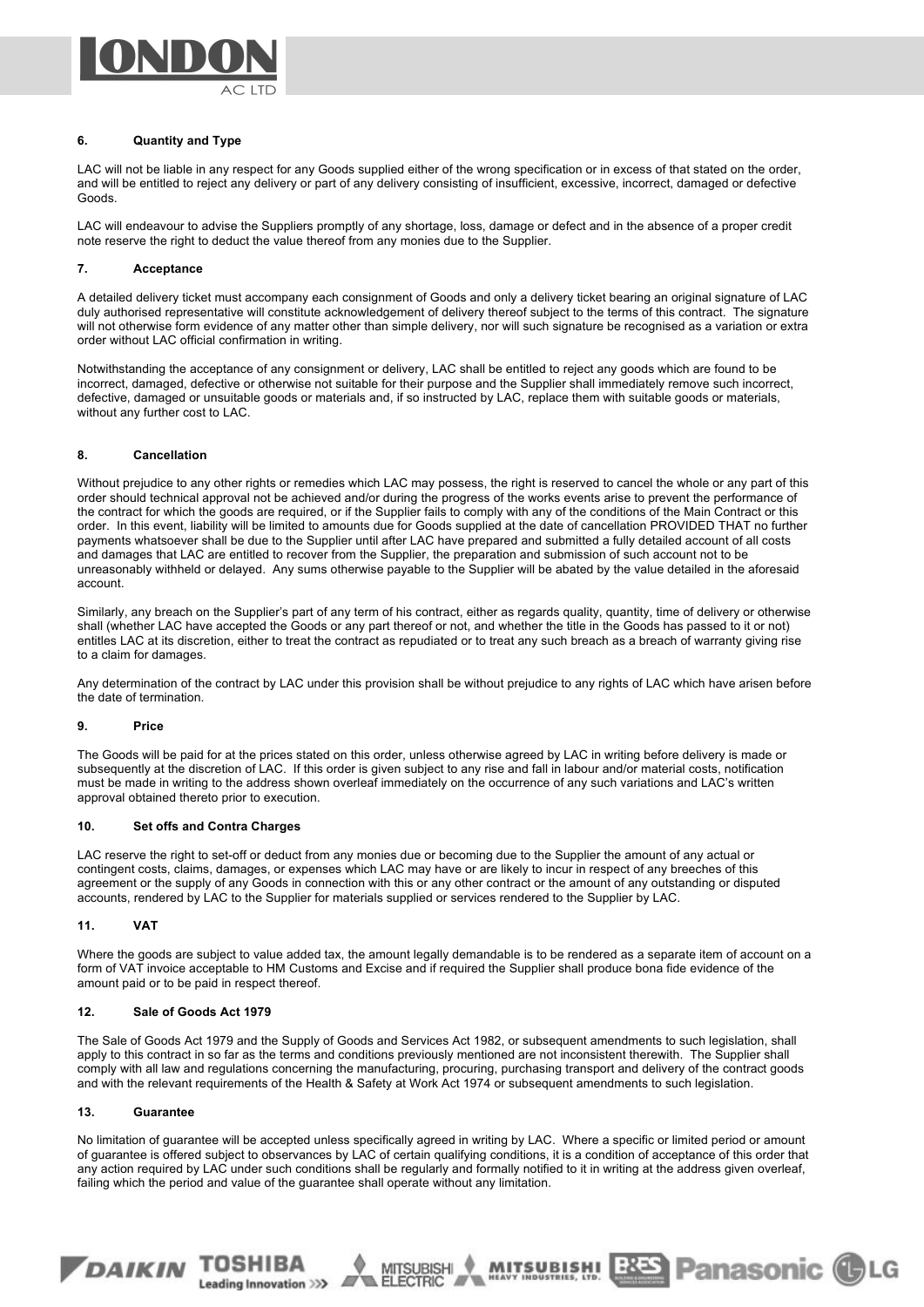

### **6. Quantity and Type**

LAC will not be liable in any respect for any Goods supplied either of the wrong specification or in excess of that stated on the order, and will be entitled to reject any delivery or part of any delivery consisting of insufficient, excessive, incorrect, damaged or defective Goods.

LAC will endeavour to advise the Suppliers promptly of any shortage, loss, damage or defect and in the absence of a proper credit note reserve the right to deduct the value thereof from any monies due to the Supplier.

## **7. Acceptance**

A detailed delivery ticket must accompany each consignment of Goods and only a delivery ticket bearing an original signature of LAC duly authorised representative will constitute acknowledgement of delivery thereof subject to the terms of this contract. The signature will not otherwise form evidence of any matter other than simple delivery, nor will such signature be recognised as a variation or extra order without LAC official confirmation in writing.

Notwithstanding the acceptance of any consignment or delivery, LAC shall be entitled to reject any goods which are found to be incorrect, damaged, defective or otherwise not suitable for their purpose and the Supplier shall immediately remove such incorrect, defective, damaged or unsuitable goods or materials and, if so instructed by LAC, replace them with suitable goods or materials, without any further cost to LAC.

## **8. Cancellation**

Without prejudice to any other rights or remedies which LAC may possess, the right is reserved to cancel the whole or any part of this order should technical approval not be achieved and/or during the progress of the works events arise to prevent the performance of the contract for which the goods are required, or if the Supplier fails to comply with any of the conditions of the Main Contract or this order. In this event, liability will be limited to amounts due for Goods supplied at the date of cancellation PROVIDED THAT no further payments whatsoever shall be due to the Supplier until after LAC have prepared and submitted a fully detailed account of all costs and damages that LAC are entitled to recover from the Supplier, the preparation and submission of such account not to be unreasonably withheld or delayed. Any sums otherwise payable to the Supplier will be abated by the value detailed in the aforesaid account.

Similarly, any breach on the Supplier's part of any term of his contract, either as regards quality, quantity, time of delivery or otherwise shall (whether LAC have accepted the Goods or any part thereof or not, and whether the title in the Goods has passed to it or not) entitles LAC at its discretion, either to treat the contract as repudiated or to treat any such breach as a breach of warranty giving rise to a claim for damages.

Any determination of the contract by LAC under this provision shall be without prejudice to any rights of LAC which have arisen before the date of termination.

#### **9. Price**

The Goods will be paid for at the prices stated on this order, unless otherwise agreed by LAC in writing before delivery is made or subsequently at the discretion of LAC. If this order is given subject to any rise and fall in labour and/or material costs, notification must be made in writing to the address shown overleaf immediately on the occurrence of any such variations and LAC's written approval obtained thereto prior to execution.

#### **10. Set offs and Contra Charges**

LAC reserve the right to set-off or deduct from any monies due or becoming due to the Supplier the amount of any actual or contingent costs, claims, damages, or expenses which LAC may have or are likely to incur in respect of any breeches of this agreement or the supply of any Goods in connection with this or any other contract or the amount of any outstanding or disputed accounts, rendered by LAC to the Supplier for materials supplied or services rendered to the Supplier by LAC.

#### **11. VAT**

Where the goods are subject to value added tax, the amount legally demandable is to be rendered as a separate item of account on a form of VAT invoice acceptable to HM Customs and Excise and if required the Supplier shall produce bona fide evidence of the amount paid or to be paid in respect thereof.

## **12. Sale of Goods Act 1979**

DAIKIN TOSHIBA

Leading Innovation >>>

The Sale of Goods Act 1979 and the Supply of Goods and Services Act 1982, or subsequent amendments to such legislation, shall apply to this contract in so far as the terms and conditions previously mentioned are not inconsistent therewith. The Supplier shall comply with all law and regulations concerning the manufacturing, procuring, purchasing transport and delivery of the contract goods and with the relevant requirements of the Health & Safety at Work Act 1974 or subsequent amendments to such legislation.

## **13. Guarantee**

No limitation of guarantee will be accepted unless specifically agreed in writing by LAC. Where a specific or limited period or amount of guarantee is offered subject to observances by LAC of certain qualifying conditions, it is a condition of acceptance of this order that any action required by LAC under such conditions shall be regularly and formally notified to it in writing at the address given overleaf, failing which the period and value of the guarantee shall operate without any limitation.

MUTSUBISHI 283

MITSUBISHI

**Panasonic CLG**